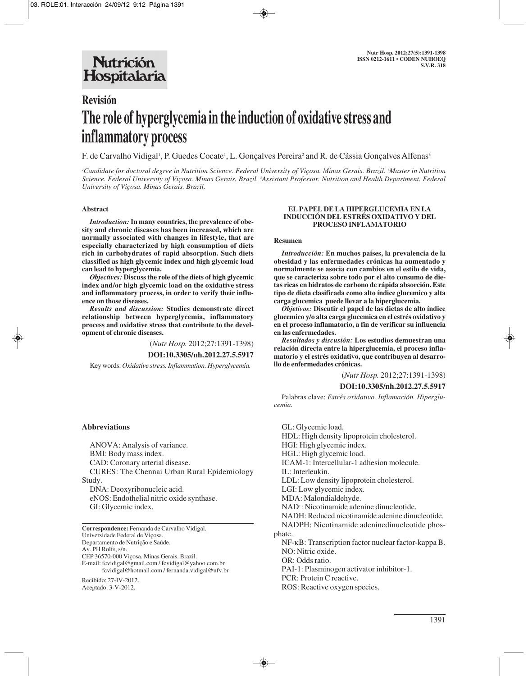## **Nutrición** Hospitalaria

# **Revisión The role of hyperglycemia in the induction of oxidative stress and inflammatory process**

F. de Carvalho Vidigal<sup>1</sup>, P. Guedes Cocate<sup>1</sup>, L. Gonçalves Pereira<sup>2</sup> and R. de Cássia Gonçalves Alfenas<sup>3</sup>

*1 Candidate for doctoral degree in Nutrition Science. Federal University of Viçosa. Minas Gerais. Brazil. 2 Master in Nutrition Science. Federal University of Viçosa. Minas Gerais. Brazil. 3 Assistant Professor. Nutrition and Health Department. Federal University of Viçosa. Minas Gerais. Brazil.*

## **Abstract**

*Introduction:***In many countries, the prevalence of obesity and chronic diseases has been increased, which are normally associated with changes in lifestyle, that are especially characterized by high consumption of diets rich in carbohydrates of rapid absorption. Such diets classified as high glycemic index and high glycemic load can lead to hyperglycemia.** 

*Objectives:* **Discuss the role of the diets of high glycemic index and/or high glycemic load on the oxidative stress and inflammatory process, in order to verify their influence on those diseases.**

*Results and discussion:* **Studies demonstrate direct relationship between hyperglycemia, inflammatory process and oxidative stress that contribute to the development of chronic diseases.** 

(*Nutr Hosp.* 2012;27:1391-1398)

**DOI:10.3305/nh.2012.27.5.5917**

Key words: *Oxidative stress. Inflammation. Hyperglycemia.*

#### **Abbreviations**

ANOVA: Analysis of variance. BMI: Body mass index. CAD: Coronary arterial disease. CURES: The Chennai Urban Rural Epidemiology Study. DNA: Deoxyribonucleic acid.

eNOS: Endothelial nitric oxide synthase. GI: Glycemic index.

**Correspondence:** Fernanda de Carvalho Vidigal. Universidade Federal de Viçosa. Departamento de Nutrição e Saúde. Av. PH Rolfs, s/n. CEP 36570-000 Viçosa. Minas Gerais. Brazil. E-mail: fcvidigal@gmail.com / fcvidigal@yahoo.com.br

fcvidigal@hotmail.com / fernanda.vidigal@ufv.br

Recibido: 27-IV-2012. Aceptado: 3-V-2012.

#### **EL PAPEL DE LA HIPERGLUCEMIA EN LA INDUCCIÓN DEL ESTRÉS OXIDATIVO Y DEL PROCESO INFLAMATORIO**

#### **Resumen**

*Introducción:* **En muchos países, la prevalencia de la obesidad y las enfermedades crónicas ha aumentado y normalmente se asocia con cambios en el estilo de vida, que se caracteriza sobre todo por el alto consumo de dietas ricas en hidratos de carbono de rápida absorción. Este tipo de dieta clasificada como alto índice glucemico y alta carga glucemica puede llevar a la hiperglucemia.**

*Objetivos:* **Discutir el papel de las dietas de alto índice glucemico y/o alta carga glucemica en el estrés oxidativo y en el proceso inflamatorio, a fin de verificar su influencia en las enfermedades.**

*Resultados y discusión:* **Los estudios demuestran una relación directa entre la hiperglucemia, el proceso inflamatorio y el estrés oxidativo, que contribuyen al desarrollo de enfermedades crónicas.**

(*Nutr Hosp.* 2012;27:1391-1398)

#### **DOI:10.3305/nh.2012.27.5.5917**

Palabras clave: *Estrés oxidativo. Inflamación. Hiperglucemia.*

GL: Glycemic load. HDL: High density lipoprotein cholesterol. HGI: High glycemic index. HGL: High glycemic load. ICAM-1: Intercellular-1 adhesion molecule. IL: Interleukin. LDL: Low density lipoprotein cholesterol. LGI: Low glycemic index. MDA: Malondialdehyde. NAD+ : Nicotinamide adenine dinucleotide. NADH: Reduced nicotinamide adenine dinucleotide. NADPH: Nicotinamide adeninedinucleotide phosphate. NF-κB: Transcription factor nuclear factor-kappa B. NO: Nitric oxide. OR: Odds ratio. PAI-1: Plasminogen activator inhibitor-1. PCR: Protein C reactive. ROS: Reactive oxygen species.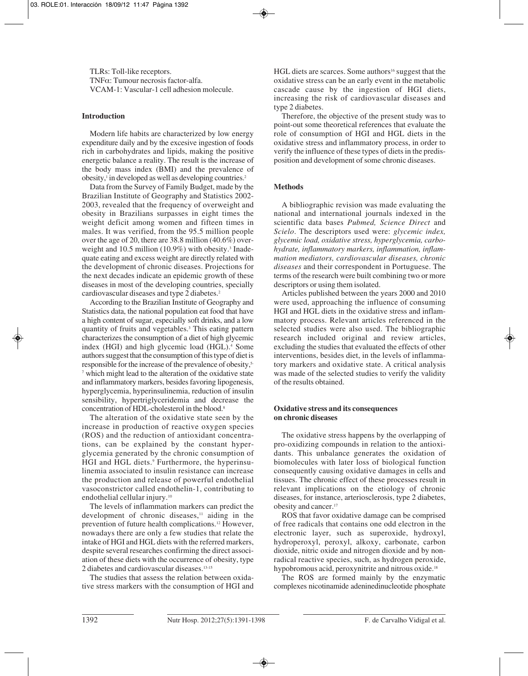TLRs: Toll-like receptors. TNFα: Tumour necrosis factor-alfa. VCAM-1: Vascular-1 cell adhesion molecule.

## **Introduction**

Modern life habits are characterized by low energy expenditure daily and by the excesive ingestion of foods rich in carbohydrates and lipids, making the positive energetic balance a reality. The result is the increase of the body mass index (BMI) and the prevalence of  $\omega$ <sup>1</sup> in developed as well as developing countries.<sup>2</sup>

Data from the Survey of Family Budget, made by the Brazilian Institute of Geography and Statistics 2002- 2003, revealed that the frequency of overweight and obesity in Brazilians surpasses in eight times the weight deficit among women and fifteen times in males. It was verified, from the 95.5 million people over the age of 20, there are 38.8 million (40.6%) overweight and 10.5 million (10.9%) with obesity.<sup>3</sup> Inadequate eating and excess weight are directly related with the development of chronic diseases. Projections for the next decades indicate an epidemic growth of these diseases in most of the developing countries, specially cardiovascular diseases and type 2 diabetes.2

According to the Brazilian Institute of Geography and Statistics data, the national population eat food that have a high content of sugar, especially soft drinks, and a low quantity of fruits and vegetables.3 This eating pattern characterizes the consumption of a diet of high glycemic index (HGI) and high glycemic load (HGL).<sup>4</sup> Some authors suggest that the consumption of this type of diet is responsible for the increase of the prevalence of obesity,<sup>5-</sup> <sup>7</sup> which might lead to the alteration of the oxidative state and inflammatory markers, besides favoring lipogenesis, hyperglycemia, hyperinsulinemia, reduction of insulin sensibility, hypertriglyceridemia and decrease the concentration of HDL-cholesterol in the blood.8

The alteration of the oxidative state seen by the increase in production of reactive oxygen species (ROS) and the reduction of antioxidant concentrations, can be explained by the constant hyperglycemia generated by the chronic consumption of HGI and HGL diets.<sup>9</sup> Furthermore, the hyperinsulinemia associated to insulin resistance can increase the production and release of powerful endothelial vasoconstrictor called endothelin-1, contributing to endothelial cellular injury.10

The levels of inflammation markers can predict the development of chronic diseases, $\frac{11}{11}$  aiding in the prevention of future health complications.12 However, nowadays there are only a few studies that relate the intake of HGI and HGL diets with the referred markers, despite several researches confirming the direct association of these diets with the occurrence of obesity, type 2 diabetes and cardiovascular diseases.13-15

The studies that assess the relation between oxidative stress markers with the consumption of HGI and  $HGL$  diets are scarces. Some authors<sup>16</sup> suggest that the oxidative stress can be an early event in the metabolic cascade cause by the ingestion of HGI diets, increasing the risk of cardiovascular diseases and type 2 diabetes.

Therefore, the objective of the present study was to point-out some theoretical references that evaluate the role of consumption of HGI and HGL diets in the oxidative stress and inflammatory process, in order to verify the influence of these types of diets in the predisposition and development of some chronic diseases.

## **Methods**

A bibliographic revision was made evaluating the national and international journals indexed in the scientific data bases *Pubmed, Science Direct* and *Scielo*. The descriptors used were: *glycemic index, glycemic load, oxidative stress, hyperglycemia, carbohydrate, inflammatory markers, inflammation, inflammation mediators, cardiovascular diseases, chronic diseases* and their correspondent in Portuguese. The terms of the research were built combining two or more descriptors or using them isolated.

Articles published between the years 2000 and 2010 were used, approaching the influence of consuming HGI and HGL diets in the oxidative stress and inflammatory process. Relevant articles referenced in the selected studies were also used. The bibliographic research included original and review articles, excluding the studies that evaluated the effects of other interventions, besides diet, in the levels of inflammatory markers and oxidative state. A critical analysis was made of the selected studies to verify the validity of the results obtained.

## **Oxidative stress and its consequences on chronic diseases**

The oxidative stress happens by the overlapping of pro-oxidizing compounds in relation to the antioxidants. This unbalance generates the oxidation of biomolecules with later loss of biological function consequently causing oxidative damages in cells and tissues. The chronic effect of these processes result in relevant implications on the etiology of chronic diseases, for instance, arteriosclerosis, type 2 diabetes, obesity and cancer.17

ROS that favor oxidative damage can be comprised of free radicals that contains one odd electron in the electronic layer, such as superoxide, hydroxyl, hydroperoxyl, peroxyl, alkoxy, carbonate, carbon dioxide, nitric oxide and nitrogen dioxide and by nonradical reactive species, such, as hydrogen peroxide, hypobromous acid, peroxynitrite and nitrous oxide.<sup>18</sup>

The ROS are formed mainly by the enzymatic complexes nicotinamide adeninedinucleotide phosphate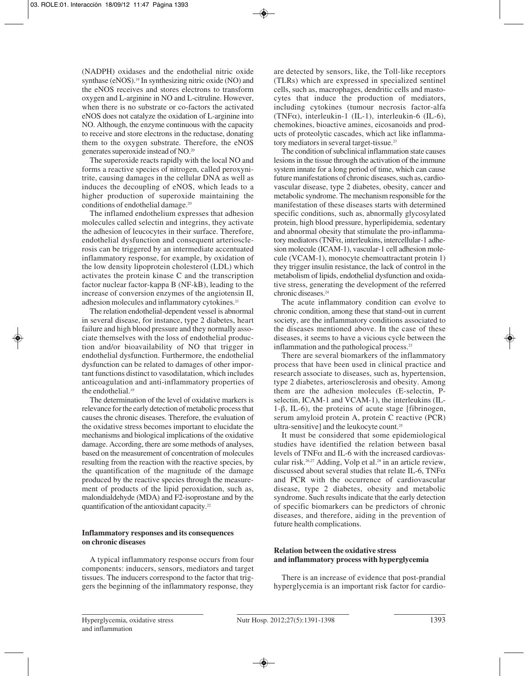(NADPH) oxidases and the endothelial nitric oxide synthase (eNOS).<sup>19</sup> In synthesizing nitric oxide (NO) and the eNOS receives and stores electrons to transform oxygen and L-arginine in NO and L-citruline. However, when there is no substrate or co-factors the activated eNOS does not catalyze the oxidation of L-arginine into NO. Although, the enzyme continuous with the capacity to receive and store electrons in the reductase, donating them to the oxygen substrate. Therefore, the eNOS generates superoxide instead of NO.20

The superoxide reacts rapidly with the local NO and forms a reactive species of nitrogen, called peroxynitrite, causing damages in the cellular DNA as well as induces the decoupling of eNOS, which leads to a higher production of superoxide maintaining the conditions of endothelial damage.20

The inflamed endothelium expresses that adhesion molecules called selectin and integrins, they activate the adhesion of leucocytes in their surface. Therefore, endothelial dysfunction and consequent arteriosclerosis can be triggered by an intermediate accentuated inflammatory response, for example, by oxidation of the low density lipoprotein cholesterol (LDL) which activates the protein kinase C and the transcription factor nuclear factor-kappa B (NF-kB), leading to the increase of conversion enzymes of the angiotensin II, adhesion molecules and inflammatory cytokines.<sup>21</sup>

The relation endothelial-dependent vessel is abnormal in several disease, for instance, type 2 diabetes, heart failure and high blood pressure and they normally associate themselves with the loss of endothelial production and/or bioavailability of NO that trigger in endothelial dysfunction. Furthermore, the endothelial dysfunction can be related to damages of other important functions distinct to vasodilatation, which includes anticoagulation and anti-inflammatory properties of the endothelial<sup>19</sup>

The determination of the level of oxidative markers is relevance for the early detection of metabolic process that causes the chronic diseases. Therefore, the evaluation of the oxidative stress becomes important to elucidate the mechanisms and biological implications of the oxidative damage. According, there are some methods of analyses, based on the measurement of concentration of molecules resulting from the reaction with the reactive species, by the quantification of the magnitude of the damage produced by the reactive species through the measurement of products of the lipid peroxidation, such as, malondialdehyde (MDA) and F2-isoprostane and by the quantification of the antioxidant capacity.22

## **Inflammatory responses and its consequences on chronic diseases**

A typical inflammatory response occurs from four components: inducers, sensors, mediators and target tissues. The inducers correspond to the factor that triggers the beginning of the inflammatory response, they

are detected by sensors, like, the Toll-like receptors (TLRs) which are expressed in specialized sentinel cells, such as, macrophages, dendritic cells and mastocytes that induce the production of mediators, including cytokines (tumour necrosis factor-alfa (TNFα), interleukin-1 (IL-1), interleukin-6 (IL-6), chemokines, bioactive amines, eicosanoids and products of proteolytic cascades, which act like inflammatory mediators in several target-tissue.23

The condition of subclinical inflammation state causes lesions in the tissue through the activation of the immune system innate for a long period of time, which can cause future manifestations of chronic diseases, such as, cardiovascular disease, type 2 diabetes, obesity, cancer and metabolic syndrome. The mechanism responsible for the manifestation of these diseases starts with determined specific conditions, such as, abnormally glycosylated protein, high blood pressure, hyperlipidemia, sedentary and abnormal obesity that stimulate the pro-inflammatory mediators (TNFα, interleukins, intercellular-1 adhesion molecule (ICAM-1), vascular-1 cell adhesion molecule (VCAM-1), monocyte chemoattractant protein 1) they trigger insulin resistance, the lack of control in the metabolism of lipids, endothelial dysfunction and oxidative stress, generating the development of the referred chronic diseases.<sup>24</sup>

The acute inflammatory condition can evolve to chronic condition, among these that stand-out in current society, are the inflammatory conditions associated to the diseases mentioned above. In the case of these diseases, it seems to have a vicious cycle between the inflammation and the pathological process.23

There are several biomarkers of the inflammatory process that have been used in clinical practice and research associate to diseases, such as, hypertension, type 2 diabetes, arteriosclerosis and obesity. Among them are the adhesion molecules (E-selectin, Pselectin, ICAM-1 and VCAM-1), the interleukins (IL-1-β, IL-6), the proteins of acute stage [fibrinogen, serum amyloid protein A, protein C reactive (PCR) ultra-sensitive] and the leukocyte count.25

It must be considered that some epidemiological studies have identified the relation between basal levels of TNFα and IL-6 with the increased cardiovascular risk.26,27 Adding, Volp et al.28 in an article review, discussed about several studies that relate IL-6, TNF $\alpha$ and PCR with the occurrence of cardiovascular disease, type 2 diabetes, obesity and metabolic syndrome. Such results indicate that the early detection of specific biomarkers can be predictors of chronic diseases, and therefore, aiding in the prevention of future health complications.

#### **Relation between the oxidative stress and inflammatory process with hyperglycemia**

There is an increase of evidence that post-prandial hyperglycemia is an important risk factor for cardio-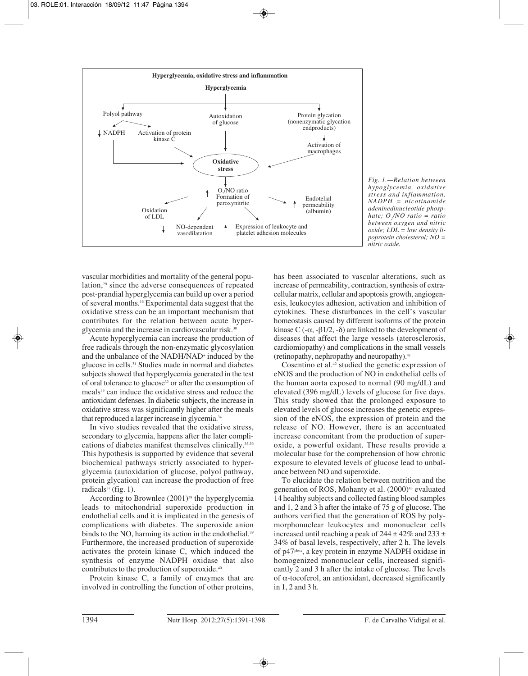

*Fig. 1.—Relation between hypoglycemia, oxidative stress and inflammation. NADPH = nicotinamide adeninedinucleotide phosphate; O2 /NO ratio = ratio between oxygen and nitric oxide; LDL = low density lipoprotein cholesterol; NO = nitric oxide.* 

vascular morbidities and mortality of the general population,29 since the adverse consequences of repeated post-prandial hyperglycemia can build up over a period of several months.16 Experimental data suggest that the oxidative stress can be an important mechanism that contributes for the relation between acute hyperglycemia and the increase in cardiovascular risk.<sup>30</sup>

Acute hyperglycemia can increase the production of free radicals through the non-enzymatic glycosylation and the unbalance of the NADH/NAD+ induced by the glucose in cells.31 Studies made in normal and diabetes subjects showed that hyperglycemia generated in the test of oral tolerance to glucose32 or after the consumption of meals<sup>33</sup> can induce the oxidative stress and reduce the antioxidant defenses. In diabetic subjects, the increase in oxidative stress was significantly higher after the meals that reproduced a larger increase in glycemia.<sup>34</sup>

In vivo studies revealed that the oxidative stress, secondary to glycemia, happens after the later complications of diabetes manifest themselves clinically.35,36 This hypothesis is supported by evidence that several biochemical pathways strictly associated to hyperglycemia (autoxidation of glucose, polyol pathway, protein glycation) can increase the production of free radicals $37$  (fig. 1).

According to Brownlee (2001)<sup>38</sup> the hyperglycemia leads to mitochondrial superoxide production in endothelial cells and it is implicated in the genesis of complications with diabetes. The superoxide anion binds to the NO, harming its action in the endothelial.<sup>39</sup> Furthermore, the increased production of superoxide activates the protein kinase C, which induced the synthesis of enzyme NADPH oxidase that also contributes to the production of superoxide.40

Protein kinase C, a family of enzymes that are involved in controlling the function of other proteins,

has been associated to vascular alterations, such as increase of permeability, contraction, synthesis of extracellular matrix, cellular and apoptosis growth, angiogenesis, leukocytes adhesion, activation and inhibition of cytokines. These disturbances in the cell's vascular homeostasis caused by different isoforms of the protein kinase C (- $\alpha$ , -β1/2, -δ) are linked to the development of diseases that affect the large vessels (aterosclerosis, cardiomiopathy) and complications in the small vessels (retinopathy, nephropathy and neuropathy).41

Cosentino et al.42 studied the genetic expression of eNOS and the production of NO in endothelial cells of the human aorta exposed to normal (90 mg/dL) and elevated (396 mg/dL) levels of glucose for five days. This study showed that the prolonged exposure to elevated levels of glucose increases the genetic expression of the eNOS, the expression of protein and the release of NO. However, there is an accentuated increase concomitant from the production of superoxide, a powerful oxidant. These results provide a molecular base for the comprehension of how chronic exposure to elevated levels of glucose lead to unbalance between NO and superoxide.

To elucidate the relation between nutrition and the generation of ROS, Mohanty et al. (2000)<sup>43</sup> evaluated 14 healthy subjects and collected fasting blood samples and 1, 2 and 3 h after the intake of 75 g of glucose. The authors verified that the generation of ROS by polymorphonuclear leukocytes and mononuclear cells increased until reaching a peak of  $244 \pm 42\%$  and  $233 \pm 1$ 34% of basal levels, respectively, after 2 h. The levels of p47phox, a key protein in enzyme NADPH oxidase in homogenized mononuclear cells, increased significantly 2 and 3 h after the intake of glucose. The levels of α-tocoferol, an antioxidant, decreased significantly in 1, 2 and 3 h.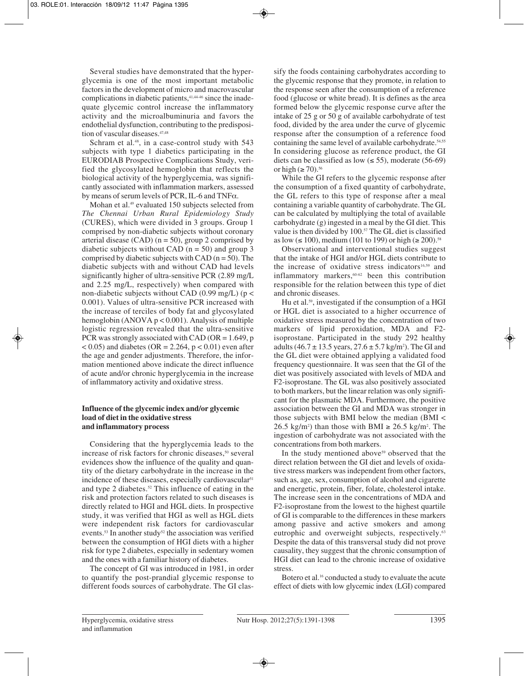Several studies have demonstrated that the hyperglycemia is one of the most important metabolic factors in the development of micro and macrovascular complications in diabetic patients,<sup>41,44-46</sup> since the inadequate glycemic control increase the inflammatory activity and the microalbuminuria and favors the endothelial dysfunction, contributing to the predisposition of vascular diseases.<sup>47,48</sup>

Schram et al.<sup>48</sup>, in a case-control study with 543 subjects with type 1 diabetics participating in the EURODIAB Prospective Complications Study, verified the glycosylated hemoglobin that reflects the biological activity of the hyperglycemia, was significantly associated with inflammation markers, assessed by means of serum levels of PCR, IL-6 and TNFα.

Mohan et al.<sup>49</sup> evaluated 150 subjects selected from *The Chennai Urban Rural Epidemiology Study* (CURES), which were divided in 3 groups. Group 1 comprised by non-diabetic subjects without coronary arterial disease (CAD) ( $n = 50$ ), group 2 comprised by diabetic subjects without CAD ( $n = 50$ ) and group 3 comprised by diabetic subjects with CAD  $(n = 50)$ . The diabetic subjects with and without CAD had levels significantly higher of ultra-sensitive PCR (2.89 mg/L and 2.25 mg/L, respectively) when compared with non-diabetic subjects without CAD (0.99 mg/L) ( $p <$ 0.001). Values of ultra-sensitive PCR increased with the increase of terciles of body fat and glycosylated hemoglobin (ANOVA  $p < 0.001$ ). Analysis of multiple logistic regression revealed that the ultra-sensitive PCR was strongly associated with CAD (OR =  $1.649$ , p  $< 0.05$ ) and diabetes (OR = 2.264, p  $< 0.01$ ) even after the age and gender adjustments. Therefore, the information mentioned above indicate the direct influence of acute and/or chronic hyperglycemia in the increase of inflammatory activity and oxidative stress.

## **Influence of the glycemic index and/or glycemic load of diet in the oxidative stress and inflammatory process**

Considering that the hyperglycemia leads to the increase of risk factors for chronic diseases,<sup>50</sup> several evidences show the influence of the quality and quantity of the dietary carbohydrate in the increase in the incidence of these diseases, especially cardiovascular<sup>51</sup> and type 2 diabetes.<sup>52</sup> This influence of eating in the risk and protection factors related to such diseases is directly related to HGI and HGL diets. In prospective study, it was verified that HGI as well as HGL diets were independent risk factors for cardiovascular events.<sup>53</sup> In another study<sup>52</sup> the association was verified between the consumption of HGI diets with a higher risk for type 2 diabetes, especially in sedentary women and the ones with a familiar history of diabetes.

The concept of GI was introduced in 1981, in order to quantify the post-prandial glycemic response to different foods sources of carbohydrate. The GI classify the foods containing carbohydrates according to the glycemic response that they promote, in relation to the response seen after the consumption of a reference food (glucose or white bread). It is defines as the area formed below the glycemic response curve after the intake of 25 g or 50 g of available carbohydrate of test food, divided by the area under the curve of glycemic response after the consumption of a reference food containing the same level of available carbohydrate.<sup>54,55</sup> In considering glucose as reference product, the GI diets can be classified as low  $(\leq 55)$ , moderate (56-69) or high  $(\geq 70)$ .<sup>56</sup>

While the GI refers to the glycemic response after the consumption of a fixed quantity of carbohydrate, the GL refers to this type of response after a meal containing a variable quantity of carbohydrate. The GL can be calculated by multiplying the total of available carbohydrate (g) ingested in a meal by the GI diet. This value is then divided by 100.<sup>57</sup> The GL diet is classified as low (≤ 100), medium (101 to 199) or high (≥ 200).<sup>58</sup>

Observational and interventional studies suggest that the intake of HGI and/or HGL diets contribute to the increase of oxidative stress indicators<sup>16,59</sup> and inflammatory markers,<sup>60-62</sup> been this contribution responsible for the relation between this type of diet and chronic diseases.

Hu et al.59, investigated if the consumption of a HGI or HGL diet is associated to a higher occurrence of oxidative stress measured by the concentration of two markers of lipid peroxidation, MDA and F2 isoprostane. Participated in the study 292 healthy adults  $(46.7 \pm 13.5 \text{ years}, 27.6 \pm 5.7 \text{ kg/m}^2)$ . The GI and the GL diet were obtained applying a validated food frequency questionnaire. It was seen that the GI of the diet was positively associated with levels of MDA and F2-isoprostane. The GL was also positively associated to both markers, but the linear relation was only significant for the plasmatic MDA. Furthermore, the positive association between the GI and MDA was stronger in those subjects with BMI below the median (BMI < 26.5 kg/m<sup>2</sup>) than those with BMI  $\geq$  26.5 kg/m<sup>2</sup>. The ingestion of carbohydrate was not associated with the concentrations from both markers.

In the study mentioned above<sup>59</sup> observed that the direct relation between the GI diet and levels of oxidative stress markers was independent from other factors, such as, age, sex, consumption of alcohol and cigarette and energetic, protein, fiber, folate, cholesterol intake. The increase seen in the concentrations of MDA and F2-isoprostane from the lowest to the highest quartile of GI is comparable to the differences in these markers among passive and active smokers and among eutrophic and overweight subjects, respectively.<sup>63</sup> Despite the data of this transversal study did not prove causality, they suggest that the chronic consumption of HGI diet can lead to the chronic increase of oxidative stress.

Botero et al.<sup>16</sup> conducted a study to evaluate the acute effect of diets with low glycemic index (LGI) compared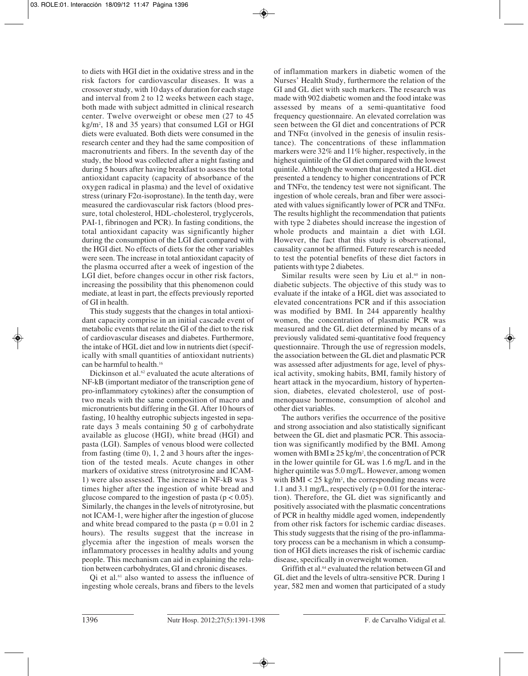to diets with HGI diet in the oxidative stress and in the risk factors for cardiovascular diseases. It was a crossover study, with 10 days of duration for each stage and interval from 2 to 12 weeks between each stage, both made with subject admitted in clinical research center. Twelve overweight or obese men (27 to 45 kg/m2 , 18 and 35 years) that consumed LGI or HGI diets were evaluated. Both diets were consumed in the research center and they had the same composition of macronutrients and fibers. In the seventh day of the study, the blood was collected after a night fasting and during 5 hours after having breakfast to assess the total antioxidant capacity (capacity of absorbance of the oxygen radical in plasma) and the level of oxidative stress (urinary F2 $\alpha$ -isoprostane). In the tenth day, were measured the cardiovascular risk factors (blood pressure, total cholesterol, HDL-cholesterol, tryglycerols, PAI-1, fibrinogen and PCR). In fasting conditions, the total antioxidant capacity was significantly higher during the consumption of the LGI diet compared with the HGI diet. No effects of diets for the other variables were seen. The increase in total antioxidant capacity of the plasma occurred after a week of ingestion of the LGI diet, before changes occur in other risk factors, increasing the possibility that this phenomenon could mediate, at least in part, the effects previously reported of GI in health.

This study suggests that the changes in total antioxidant capacity comprise in an initial cascade event of metabolic events that relate the GI of the diet to the risk of cardiovascular diseases and diabetes. Furthermore, the intake of HGL diet and low in nutrients diet (specifically with small quantities of antioxidant nutrients) can be harmful to health.16

Dickinson et al. $62$  evaluated the acute alterations of NF-kB (important mediator of the transcription gene of pro-inflammatory cytokines) after the consumption of two meals with the same composition of macro and micronutrients but differing in the GI. After 10 hours of fasting, 10 healthy eutrophic subjects ingested in separate days 3 meals containing 50 g of carbohydrate available as glucose (HGI), white bread (HGI) and pasta (LGI). Samples of venous blood were collected from fasting (time 0), 1, 2 and 3 hours after the ingestion of the tested meals. Acute changes in other markers of oxidative stress (nitrotyrosine and ICAM-1) were also assessed. The increase in NF-kB was 3 times higher after the ingestion of white bread and glucose compared to the ingestion of pasta ( $p < 0.05$ ). Similarly, the changes in the levels of nitrotyrosine, but not ICAM-1, were higher after the ingestion of glucose and white bread compared to the pasta ( $p = 0.01$  in 2 hours). The results suggest that the increase in glycemia after the ingestion of meals worsen the inflammatory processes in healthy adults and young people. This mechanism can aid in explaining the relation between carbohydrates, GI and chronic diseases.

Qi et al.61 also wanted to assess the influence of ingesting whole cereals, brans and fibers to the levels

of inflammation markers in diabetic women of the Nurses' Health Study, furthermore the relation of the GI and GL diet with such markers. The research was made with 902 diabetic women and the food intake was assessed by means of a semi-quantitative food frequency questionnaire. An elevated correlation was seen between the GI diet and concentrations of PCR and  $TNF\alpha$  (involved in the genesis of insulin resistance). The concentrations of these inflammation markers were 32% and 11% higher, respectively, in the highest quintile of the GI diet compared with the lowest quintile. Although the women that ingested a HGL diet presented a tendency to higher concentrations of PCR and  $TNF\alpha$ , the tendency test were not significant. The ingestion of whole cereals, bran and fiber were associated with values significantly lower of PCR and TNFα. The results highlight the recommendation that patients with type 2 diabetes should increase the ingestion of whole products and maintain a diet with LGI. However, the fact that this study is observational, causality cannot be affirmed. Future research is needed to test the potential benefits of these diet factors in patients with type 2 diabetes.

Similar results were seen by Liu et al.<sup>60</sup> in nondiabetic subjects. The objective of this study was to evaluate if the intake of a HGL diet was associated to elevated concentrations PCR and if this association was modified by BMI. In 244 apparently healthy women, the concentration of plasmatic PCR was measured and the GL diet determined by means of a previously validated semi-quantitative food frequency questionnaire. Through the use of regression models, the association between the GL diet and plasmatic PCR was assessed after adjustments for age, level of physical activity, smoking habits, BMI, family history of heart attack in the myocardium, history of hypertension, diabetes, elevated cholesterol, use of postmenopause hormone, consumption of alcohol and other diet variables.

The authors verifies the occurrence of the positive and strong association and also statistically significant between the GL diet and plasmatic PCR. This association was significantly modified by the BMI. Among women with BMI  $\geq$  25 kg/m<sup>2</sup>, the concentration of PCR in the lower quintile for GL was 1.6 mg/L and in the higher quintile was 5.0 mg/L. However, among women with BMI  $<$  25 kg/m<sup>2</sup>, the corresponding means were 1.1 and 3.1 mg/L, respectively ( $p = 0.01$  for the interaction). Therefore, the GL diet was significantly and positively associated with the plasmatic concentrations of PCR in healthy middle aged women, independently from other risk factors for ischemic cardiac diseases. This study suggests that the rising of the pro-inflammatory process can be a mechanism in which a consumption of HGI diets increases the risk of ischemic cardiac disease, specifically in overweight women.

Griffith et al.<sup>64</sup> evaluated the relation between GI and GL diet and the levels of ultra-sensitive PCR. During 1 year, 582 men and women that participated of a study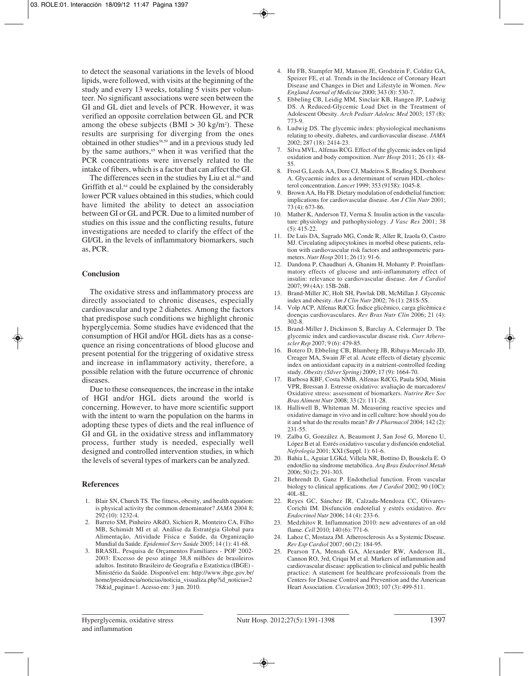to detect the seasonal variations in the levels of blood lipids, were followed, with visits at the beginning of the study and every 13 weeks, totaling 5 visits per volunteer. No significant associations were seen between the GI and GL diet and levels of PCR. However, it was verified an opposite correlation between GL and PCR among the obese subjects  $(BMI > 30 \text{ kg/m}^2)$ . These results are surprising for diverging from the ones obtained in other studies58,59 and in a previous study led by the same authors,<sup>65</sup> when it was verified that the PCR concentrations were inversely related to the intake of fibers, which is a factor that can affect the GI.

The differences seen in the studies by Liu et al.<sup>60</sup> and Griffith et al.<sup>64</sup> could be explained by the considerably lower PCR values obtained in this studies, which could have limited the ability to detect an association between GI or GL and PCR. Due to a limited number of studies on this issue and the conflicting results, future investigations are needed to clarify the effect of the GI/GL in the levels of inflammatory biomarkers, such as, PCR.

#### **Conclusion**

The oxidative stress and inflammatory process are directly associated to chronic diseases, especially cardiovascular and type 2 diabetes. Among the factors that predispose such conditions we highlight chronic hyperglycemia. Some studies have evidenced that the consumption of HGI and/or HGL diets has as a consequence an rising concentrations of blood glucose and present potential for the triggering of oxidative stress and increase in inflammatory activity, therefore, a possible relation with the future occurrence of chronic diseases.

Due to these consequences, the increase in the intake of HGI and/or HGL diets around the world is concerning. However, to have more scientific support with the intent to warn the population on the harms in adopting these types of diets and the real influence of GI and GL in the oxidative stress and inflammatory process, further study is needed, especially well designed and controlled intervention studies, in which the levels of several types of markers can be analyzed.

#### **References**

- 1. Blair SN, Church TS. The fitness, obesity, and health equation: is physical activity the common denominator? *JAMA* 2004 8; 292 (10): 1232-4.
- 2. Barreto SM, Pinheiro ARdO, Sichieri R, Monteiro CA, Filho MB, Schimidt MI et al. Análise da Estratégia Global para Alimentação, Atividade Física e Saúde, da Organização Mundial da Saúde. *Epidemiol Serv Saúde* 2005; 14 (1): 41-68.
- 3. BRASIL. Pesquisa de Orçamentos Familiares POF 2002- 2003: Excesso de peso atinge 38,8 milhões de brasileiros adultos. Instituto Brasileiro de Geografia e Estatística (IBGE) - Ministério da Saúde. Disponível em: http://www.ibge.gov.br/ home/presidencia/noticias/noticia\_visualiza.php?id\_noticia=2 78&id\_pagina=1. Acesso em: 3 jun. 2010.
- 4. Hu FB, Stampfer MJ, Manson JE, Grodstein F, Colditz GA, Speizer FE, et al. Trends in the Incidence of Coronary Heart Disease and Changes in Diet and Lifestyle in Women. *New England Journal of Medicine* 2000; 343 (8): 530-7.
- 5. Ebbeling CB, Leidig MM, Sinclair KB, Hangen JP, Ludwig DS. A Reduced-Glycemic Load Diet in the Treatment of Adolescent Obesity. *Arch Pediatr Adolesc Med* 2003; 157 (8): 773-9.
- 6. Ludwig DS. The glycemic index: physiological mechanisms relating to obesity, diabetes, and cardiovascular disease. *JAMA* 2002; 287 (18): 2414-23.
- 7. Silva MVL, Alfenas RCG. Effect of the glycemic index on lipid oxidation and body composition. *Nutr Hosp* 2011; 26 (1): 48- 55.
- 8. Frost G, Leeds AA, Dore CJ, Madeiros S, Brading S, Dornhorst A. Glycaemic index as a determinant of serum HDL-cholesterol concentration. *Lancet* 1999; 353 (9158): 1045-8.
- 9. Brown AA, Hu FB. Dietary modulation of endothelial function: implications for cardiovascular disease. *Am J Clin Nutr* 2001; 73 (4): 673-86.
- 10. Mather K, Anderson TJ, Verma S. Insulin action in the vasculature: physiology and pathophysiology. *J Vasc Res* 2001; 38 (5): 415-22.
- 11. De Luis DA, Sagrado MG, Conde R, Aller R, Izaola O, Castro MJ. Circulating adipocytokines in morbid obese patients, relation with cardiovascular risk factors and anthropometric parameters. *Nutr Hosp* 2011; 26 (1): 91-6.
- 12. Dandona P, Chaudhuri A, Ghanim H, Mohanty P. Proinflammatory effects of glucose and anti-inflammatory effect of insulin: relevance to cardiovascular disease. *Am J Cardiol*  $2007:99(4A):15B-26B$ .
- 13. Brand-Miller JC, Holt SH, Pawlak DB, McMillan J. Glycemic index and obesity. *Am J Clin Nutr* 2002; 76 (1): 281S-5S.
- 14. Volp ACP, Alfenas RdCG. Índice glicêmico, carga glicêmica e doenças cardiovasculares. *Rev Bras Nutr Clin* 2006; 21 (4): 302-8.
- 15. Brand-Miller J, Dickinson S, Barclay A, Celermajer D. The glycemic index and cardiovascular disease risk. *Curr Atheroscler Rep* 2007; 9 (6): 479-85.
- 16. Botero D, Ebbeling CB, Blumberg JB, Ribaya-Mercado JD, Creager MA, Swain JF et al. Acute effects of dietary glycemic index on antioxidant capacity in a nutrient-controlled feeding study. *Obesity (Silver Spring)* 2009; 17 (9): 1664-70.
- 17. Barbosa KBF, Costa NMB, Alfenas RdCG, Paula SOd, Minin VPR, Bressan J. Estresse oxidativo: avaliação de marcadores/ Oxidative stress: assessment of biomarkers. *Nutrire Rev Soc Bras Aliment Nutr* 2008; 33 (2): 111-28.
- 18. Halliwell B, Whiteman M. Measuring reactive species and oxidative damage in vivo and in cell culture: how should you do it and what do the results mean? *Br J Pharmacol* 2004; 142 (2): 231-55.
- 19. Zalba G, González A, Beaumont J, San José G, Moreno U, López B et al. Estrés oxidativo vascular y disfunción endotelial. *Nefrología* 2001; XXI (Suppl. 1): 61-6.
- 20. Bahia L, Aguiar LGKd, Villela NR, Bottino D, Bouskela E. O endotélio na síndrome metabólica. *Arq Bras Endocrinol Metab*  $2006:50(2)$ : 291-303.
- 21. Behrendt D, Ganz P. Endothelial function. From vascular biology to clinical applications. *Am J Cardiol* 2002; 90 (10C): 40L-8L.
- 22. Reyes GC, Sánchez IR, Calzada-Mendoza CC, Olivares-Corichi IM. Disfunción endotelial y estrés oxidativo. *Rev Endocrinol Nutr* 2006; 14 (4): 233-6.
- 23. Medzhitov R. Inflammation 2010: new adventures of an old flame. *Cell* 2010; 140 (6): 771-6.
- 24. Lahoz C, Mostaza JM. Atherosclerosis As a Systemic Disease. *Rev Esp Cardiol* 2007; 60 (2): 184-95.
- 25. Pearson TA, Mensah GA, Alexander RW, Anderson JL, Cannon RO, 3rd, Criqui M et al. Markers of inflammation and cardiovascular disease: application to clinical and public health practice: A statement for healthcare professionals from the Centers for Disease Control and Prevention and the American Heart Association. *Circulation* 2003; 107 (3): 499-511.